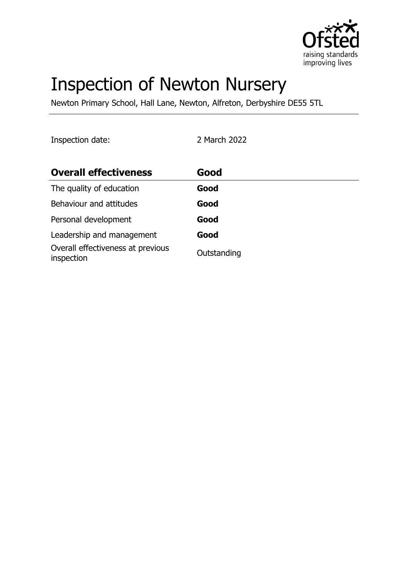

# Inspection of Newton Nursery

Newton Primary School, Hall Lane, Newton, Alfreton, Derbyshire DE55 5TL

Inspection date: 2 March 2022

| <b>Overall effectiveness</b>                    | Good        |
|-------------------------------------------------|-------------|
| The quality of education                        | Good        |
| Behaviour and attitudes                         | Good        |
| Personal development                            | Good        |
| Leadership and management                       | Good        |
| Overall effectiveness at previous<br>inspection | Outstanding |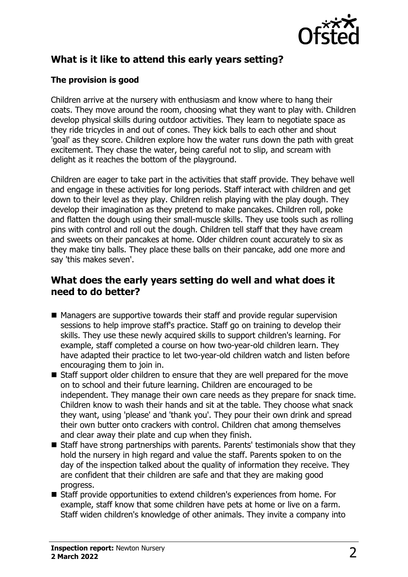

# **What is it like to attend this early years setting?**

## **The provision is good**

Children arrive at the nursery with enthusiasm and know where to hang their coats. They move around the room, choosing what they want to play with. Children develop physical skills during outdoor activities. They learn to negotiate space as they ride tricycles in and out of cones. They kick balls to each other and shout 'goal' as they score. Children explore how the water runs down the path with great excitement. They chase the water, being careful not to slip, and scream with delight as it reaches the bottom of the playground.

Children are eager to take part in the activities that staff provide. They behave well and engage in these activities for long periods. Staff interact with children and get down to their level as they play. Children relish playing with the play dough. They develop their imagination as they pretend to make pancakes. Children roll, poke and flatten the dough using their small-muscle skills. They use tools such as rolling pins with control and roll out the dough. Children tell staff that they have cream and sweets on their pancakes at home. Older children count accurately to six as they make tiny balls. They place these balls on their pancake, add one more and say 'this makes seven'.

## **What does the early years setting do well and what does it need to do better?**

- Managers are supportive towards their staff and provide regular supervision sessions to help improve staff's practice. Staff go on training to develop their skills. They use these newly acquired skills to support children's learning. For example, staff completed a course on how two-year-old children learn. They have adapted their practice to let two-year-old children watch and listen before encouraging them to join in.
- $\blacksquare$  Staff support older children to ensure that they are well prepared for the move on to school and their future learning. Children are encouraged to be independent. They manage their own care needs as they prepare for snack time. Children know to wash their hands and sit at the table. They choose what snack they want, using 'please' and 'thank you'. They pour their own drink and spread their own butter onto crackers with control. Children chat among themselves and clear away their plate and cup when they finish.
- $\blacksquare$  Staff have strong partnerships with parents. Parents' testimonials show that they hold the nursery in high regard and value the staff. Parents spoken to on the day of the inspection talked about the quality of information they receive. They are confident that their children are safe and that they are making good progress.
- Staff provide opportunities to extend children's experiences from home. For example, staff know that some children have pets at home or live on a farm. Staff widen children's knowledge of other animals. They invite a company into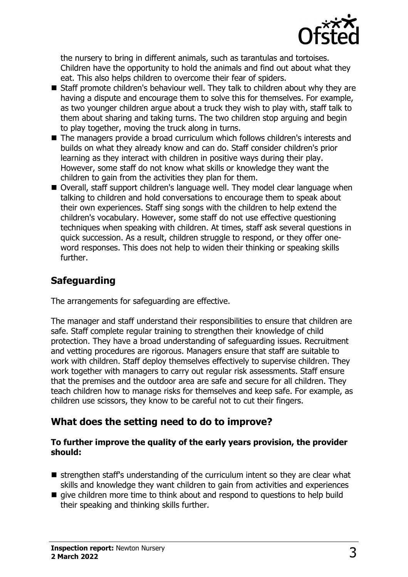

the nursery to bring in different animals, such as tarantulas and tortoises. Children have the opportunity to hold the animals and find out about what they eat. This also helps children to overcome their fear of spiders.

- $\blacksquare$  Staff promote children's behaviour well. They talk to children about why they are having a dispute and encourage them to solve this for themselves. For example, as two younger children argue about a truck they wish to play with, staff talk to them about sharing and taking turns. The two children stop arguing and begin to play together, moving the truck along in turns.
- $\blacksquare$  The managers provide a broad curriculum which follows children's interests and builds on what they already know and can do. Staff consider children's prior learning as they interact with children in positive ways during their play. However, some staff do not know what skills or knowledge they want the children to gain from the activities they plan for them.
- Overall, staff support children's language well. They model clear language when talking to children and hold conversations to encourage them to speak about their own experiences. Staff sing songs with the children to help extend the children's vocabulary. However, some staff do not use effective questioning techniques when speaking with children. At times, staff ask several questions in quick succession. As a result, children struggle to respond, or they offer oneword responses. This does not help to widen their thinking or speaking skills further.

## **Safeguarding**

The arrangements for safeguarding are effective.

The manager and staff understand their responsibilities to ensure that children are safe. Staff complete regular training to strengthen their knowledge of child protection. They have a broad understanding of safeguarding issues. Recruitment and vetting procedures are rigorous. Managers ensure that staff are suitable to work with children. Staff deploy themselves effectively to supervise children. They work together with managers to carry out regular risk assessments. Staff ensure that the premises and the outdoor area are safe and secure for all children. They teach children how to manage risks for themselves and keep safe. For example, as children use scissors, they know to be careful not to cut their fingers.

## **What does the setting need to do to improve?**

#### **To further improve the quality of the early years provision, the provider should:**

- strengthen staff's understanding of the curriculum intent so they are clear what skills and knowledge they want children to gain from activities and experiences
- $\blacksquare$  give children more time to think about and respond to questions to help build their speaking and thinking skills further.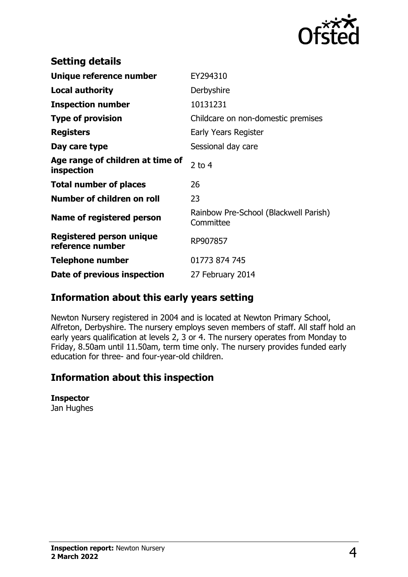

| <b>Setting details</b>                              |                                                    |
|-----------------------------------------------------|----------------------------------------------------|
| Unique reference number                             | EY294310                                           |
| <b>Local authority</b>                              | Derbyshire                                         |
| <b>Inspection number</b>                            | 10131231                                           |
| <b>Type of provision</b>                            | Childcare on non-domestic premises                 |
| <b>Registers</b>                                    | Early Years Register                               |
| Day care type                                       | Sessional day care                                 |
| Age range of children at time of<br>inspection      | 2 to $4$                                           |
| <b>Total number of places</b>                       | 26                                                 |
| Number of children on roll                          | 23                                                 |
| Name of registered person                           | Rainbow Pre-School (Blackwell Parish)<br>Committee |
| <b>Registered person unique</b><br>reference number | RP907857                                           |
| Telephone number                                    | 01773 874 745                                      |
| Date of previous inspection                         | 27 February 2014                                   |

## **Information about this early years setting**

Newton Nursery registered in 2004 and is located at Newton Primary School, Alfreton, Derbyshire. The nursery employs seven members of staff. All staff hold an early years qualification at levels 2, 3 or 4. The nursery operates from Monday to Friday, 8.50am until 11.50am, term time only. The nursery provides funded early education for three- and four-year-old children.

## **Information about this inspection**

#### **Inspector**

Jan Hughes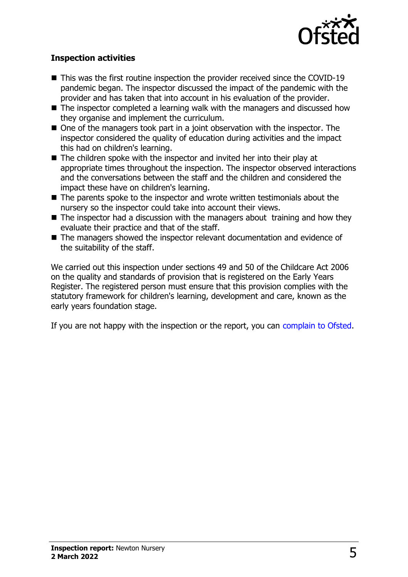

## **Inspection activities**

- $\blacksquare$  This was the first routine inspection the provider received since the COVID-19 pandemic began. The inspector discussed the impact of the pandemic with the provider and has taken that into account in his evaluation of the provider.
- $\blacksquare$  The inspector completed a learning walk with the managers and discussed how they organise and implement the curriculum.
- $\blacksquare$  One of the managers took part in a joint observation with the inspector. The inspector considered the quality of education during activities and the impact this had on children's learning.
- $\blacksquare$  The children spoke with the inspector and invited her into their play at appropriate times throughout the inspection. The inspector observed interactions and the conversations between the staff and the children and considered the impact these have on children's learning.
- $\blacksquare$  The parents spoke to the inspector and wrote written testimonials about the nursery so the inspector could take into account their views.
- $\blacksquare$  The inspector had a discussion with the managers about training and how they evaluate their practice and that of the staff.
- The managers showed the inspector relevant documentation and evidence of the suitability of the staff.

We carried out this inspection under sections 49 and 50 of the Childcare Act 2006 on the quality and standards of provision that is registered on the Early Years Register. The registered person must ensure that this provision complies with the statutory framework for children's learning, development and care, known as the early years foundation stage.

If you are not happy with the inspection or the report, you can [complain to Ofsted](http://www.gov.uk/complain-ofsted-report).